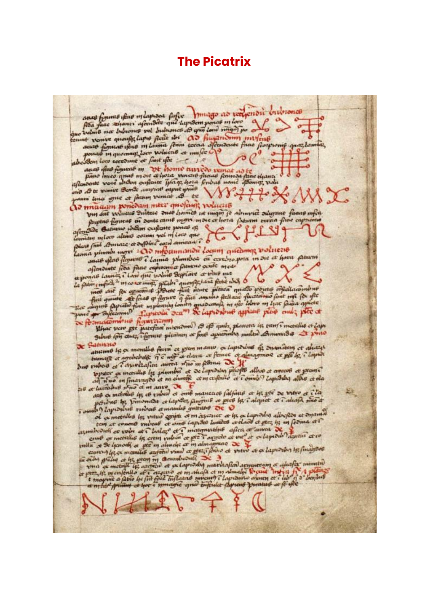# **The Picatrix**

anas figuras ifas milaspasa fufix muago ao vergenoù invisiones que velme not bubwonce pel bubwonce et your love many po o que vous quoufit lapse fecte doi ao finantismo misfrus ponces in quecompt loro voluent et mufée location low second at finit for the auas fino figuras m avas ofos figuras m DE homo auredo venas ad fe affermente voie incom oufcoure Typing, hora ferious nome offering, volu and Ate venue Bende aunquel export your 円 so as te vance sont passing vanist . 8 te  $\sim$ As maain poncount neer quofain voluent VIII ant volume Suitze onos homes ut man je admore sugant facus mfer forpene figuras or sente canto more more et hora fabrim terna fine caps Appense passare in some came myself lamian mlow alimo coznus vel ni Low que avat flat flowers & lama plumber ou cerebro pora in one et hora preuven afendente feu fanc enpromis paramente med exponsible laming ? Lond que volume Septions et volume peut une 6 de contra parte de la patiente en la partie de la parte de la parte de la parte de la parte de la parte de la parte de la parte de la parte de la parte de l What you get partition microme to of quite planets in turn i meeting et laps Alsac vero pre parefixe manomo io que apresimos multis do manusdus - princ **X** Sabissio ationale is a months ferri et prom maniv, a lapidine of dismission et abients tamage or agreeable TE mit a dava a fame de dimagmos ce pê le clayed to preser es incendias las primetes et de lapiditar phofits alloso et aveces et preser 216 et lui subus n'en et m anes de tous maneurs subjects et le ple de viere et c'en 芝生 province les prisonada et lapeles, panguil et pres les calquet et i aliafa nuo a of capacities the vitral content of management of the or tapically alloches at superiod examined the volet at a leader of a mangumulus after or among the primer at to valla e de la poste et que en almele et m almegnac de prese et que la product les financiers expected to the moment of the community of the community of the community of the content of the content of a content of the content of the content of the content of the content of the content of the content of the content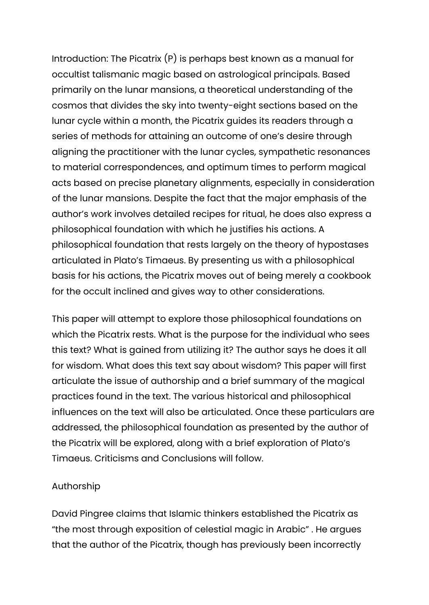Introduction: The Picatrix (P) is perhaps best known as a manual for occultist talismanic magic based on astrological principals. Based primarily on the lunar mansions, a theoretical understanding of the cosmos that divides the sky into twenty-eight sections based on the lunar cycle within a month, the Picatrix guides its readers through a series of methods for attaining an outcome of one's desire through aligning the practitioner with the lunar cycles, sympathetic resonances to material correspondences, and optimum times to perform magical acts based on precise planetary alignments, especially in consideration of the lunar mansions. Despite the fact that the major emphasis of the author's work involves detailed recipes for ritual, he does also express a philosophical foundation with which he justifies his actions. A philosophical foundation that rests largely on the theory of hypostases articulated in Plato's Timaeus. By presenting us with a philosophical basis for his actions, the Picatrix moves out of being merely a cookbook for the occult inclined and gives way to other considerations.

This paper will attempt to explore those philosophical foundations on which the Picatrix rests. What is the purpose for the individual who sees this text? What is gained from utilizing it? The author says he does it all for wisdom. What does this text say about wisdom? This paper will first articulate the issue of authorship and a brief summary of the magical practices found in the text. The various historical and philosophical influences on the text will also be articulated. Once these particulars are addressed, the philosophical foundation as presented by the author of the Picatrix will be explored, along with a brief exploration of Plato's Timaeus. Criticisms and Conclusions will follow.

## Authorship

David Pingree claims that Islamic thinkers established the Picatrix as "the most through exposition of celestial magic in Arabic" . He argues that the author of the Picatrix, though has previously been incorrectly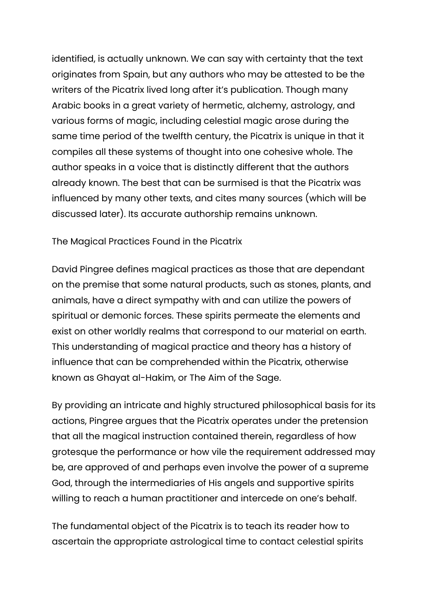identified, is actually unknown. We can say with certainty that the text originates from Spain, but any authors who may be attested to be the writers of the Picatrix lived long after it's publication. Though many Arabic books in a great variety of hermetic, alchemy, astrology, and various forms of magic, including celestial magic arose during the same time period of the twelfth century, the Picatrix is unique in that it compiles all these systems of thought into one cohesive whole. The author speaks in a voice that is distinctly different that the authors already known. The best that can be surmised is that the Picatrix was influenced by many other texts, and cites many sources (which will be discussed later). Its accurate authorship remains unknown.

The Magical Practices Found in the Picatrix

David Pingree defines magical practices as those that are dependant on the premise that some natural products, such as stones, plants, and animals, have a direct sympathy with and can utilize the powers of spiritual or demonic forces. These spirits permeate the elements and exist on other worldly realms that correspond to our material on earth. This understanding of magical practice and theory has a history of influence that can be comprehended within the Picatrix, otherwise known as Ghayat al-Hakim, or The Aim of the Sage.

By providing an intricate and highly structured philosophical basis for its actions, Pingree argues that the Picatrix operates under the pretension that all the magical instruction contained therein, regardless of how grotesque the performance or how vile the requirement addressed may be, are approved of and perhaps even involve the power of a supreme God, through the intermediaries of His angels and supportive spirits willing to reach a human practitioner and intercede on one's behalf.

The fundamental object of the Picatrix is to teach its reader how to ascertain the appropriate astrological time to contact celestial spirits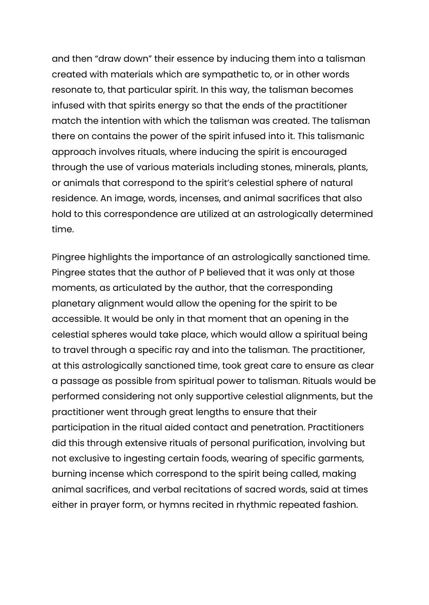and then "draw down" their essence by inducing them into a talisman created with materials which are sympathetic to, or in other words resonate to, that particular spirit. In this way, the talisman becomes infused with that spirits energy so that the ends of the practitioner match the intention with which the talisman was created. The talisman there on contains the power of the spirit infused into it. This talismanic approach involves rituals, where inducing the spirit is encouraged through the use of various materials including stones, minerals, plants, or animals that correspond to the spirit's celestial sphere of natural residence. An image, words, incenses, and animal sacrifices that also hold to this correspondence are utilized at an astrologically determined time.

Pingree highlights the importance of an astrologically sanctioned time. Pingree states that the author of P believed that it was only at those moments, as articulated by the author, that the corresponding planetary alignment would allow the opening for the spirit to be accessible. It would be only in that moment that an opening in the celestial spheres would take place, which would allow a spiritual being to travel through a specific ray and into the talisman. The practitioner, at this astrologically sanctioned time, took great care to ensure as clear a passage as possible from spiritual power to talisman. Rituals would be performed considering not only supportive celestial alignments, but the practitioner went through great lengths to ensure that their participation in the ritual aided contact and penetration. Practitioners did this through extensive rituals of personal purification, involving but not exclusive to ingesting certain foods, wearing of specific garments, burning incense which correspond to the spirit being called, making animal sacrifices, and verbal recitations of sacred words, said at times either in prayer form, or hymns recited in rhythmic repeated fashion.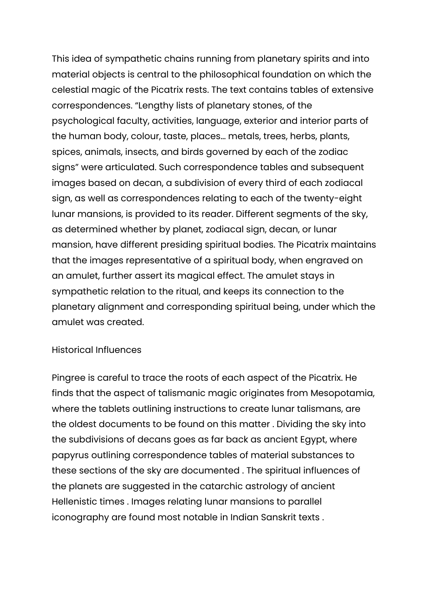This idea of sympathetic chains running from planetary spirits and into material objects is central to the philosophical foundation on which the celestial magic of the Picatrix rests. The text contains tables of extensive correspondences. "Lengthy lists of planetary stones, of the psychological faculty, activities, language, exterior and interior parts of the human body, colour, taste, places… metals, trees, herbs, plants, spices, animals, insects, and birds governed by each of the zodiac signs" were articulated. Such correspondence tables and subsequent images based on decan, a subdivision of every third of each zodiacal sign, as well as correspondences relating to each of the twenty-eight lunar mansions, is provided to its reader. Different segments of the sky, as determined whether by planet, zodiacal sign, decan, or lunar mansion, have different presiding spiritual bodies. The Picatrix maintains that the images representative of a spiritual body, when engraved on an amulet, further assert its magical effect. The amulet stays in sympathetic relation to the ritual, and keeps its connection to the planetary alignment and corresponding spiritual being, under which the amulet was created.

#### Historical Influences

Pingree is careful to trace the roots of each aspect of the Picatrix. He finds that the aspect of talismanic magic originates from Mesopotamia, where the tablets outlining instructions to create lunar talismans, are the oldest documents to be found on this matter . Dividing the sky into the subdivisions of decans goes as far back as ancient Egypt, where papyrus outlining correspondence tables of material substances to these sections of the sky are documented . The spiritual influences of the planets are suggested in the catarchic astrology of ancient Hellenistic times . Images relating lunar mansions to parallel iconography are found most notable in Indian Sanskrit texts .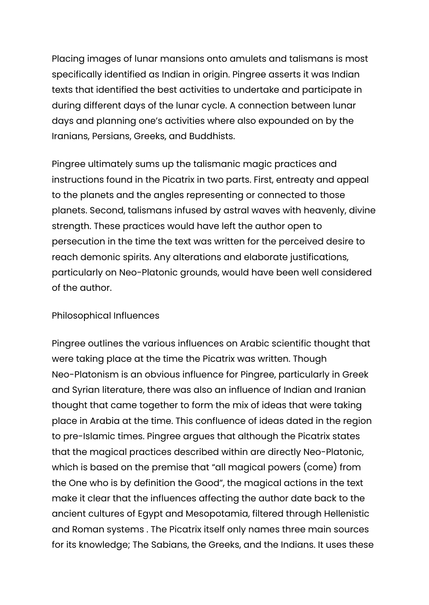Placing images of lunar mansions onto amulets and talismans is most specifically identified as Indian in origin. Pingree asserts it was Indian texts that identified the best activities to undertake and participate in during different days of the lunar cycle. A connection between lunar days and planning one's activities where also expounded on by the Iranians, Persians, Greeks, and Buddhists.

Pingree ultimately sums up the talismanic magic practices and instructions found in the Picatrix in two parts. First, entreaty and appeal to the planets and the angles representing or connected to those planets. Second, talismans infused by astral waves with heavenly, divine strength. These practices would have left the author open to persecution in the time the text was written for the perceived desire to reach demonic spirits. Any alterations and elaborate justifications, particularly on Neo-Platonic grounds, would have been well considered of the author.

#### Philosophical Influences

Pingree outlines the various influences on Arabic scientific thought that were taking place at the time the Picatrix was written. Though Neo-Platonism is an obvious influence for Pingree, particularly in Greek and Syrian literature, there was also an influence of Indian and Iranian thought that came together to form the mix of ideas that were taking place in Arabia at the time. This confluence of ideas dated in the region to pre-Islamic times. Pingree argues that although the Picatrix states that the magical practices described within are directly Neo-Platonic, which is based on the premise that "all magical powers (come) from the One who is by definition the Good", the magical actions in the text make it clear that the influences affecting the author date back to the ancient cultures of Egypt and Mesopotamia, filtered through Hellenistic and Roman systems . The Picatrix itself only names three main sources for its knowledge; The Sabians, the Greeks, and the Indians. It uses these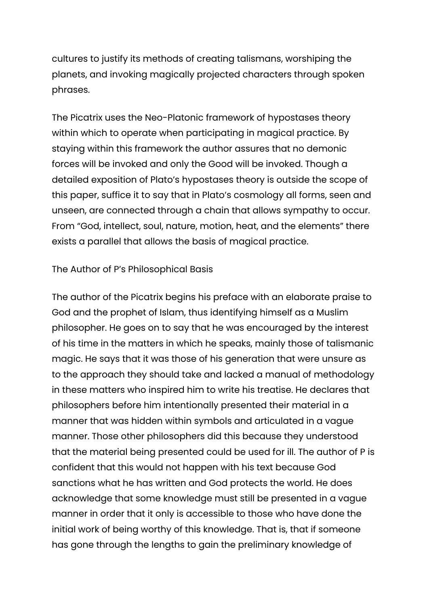cultures to justify its methods of creating talismans, worshiping the planets, and invoking magically projected characters through spoken phrases.

The Picatrix uses the Neo-Platonic framework of hypostases theory within which to operate when participating in magical practice. By staying within this framework the author assures that no demonic forces will be invoked and only the Good will be invoked. Though a detailed exposition of Plato's hypostases theory is outside the scope of this paper, suffice it to say that in Plato's cosmology all forms, seen and unseen, are connected through a chain that allows sympathy to occur. From "God, intellect, soul, nature, motion, heat, and the elements" there exists a parallel that allows the basis of magical practice.

#### The Author of P's Philosophical Basis

The author of the Picatrix begins his preface with an elaborate praise to God and the prophet of Islam, thus identifying himself as a Muslim philosopher. He goes on to say that he was encouraged by the interest of his time in the matters in which he speaks, mainly those of talismanic magic. He says that it was those of his generation that were unsure as to the approach they should take and lacked a manual of methodology in these matters who inspired him to write his treatise. He declares that philosophers before him intentionally presented their material in a manner that was hidden within symbols and articulated in a vague manner. Those other philosophers did this because they understood that the material being presented could be used for ill. The author of P is confident that this would not happen with his text because God sanctions what he has written and God protects the world. He does acknowledge that some knowledge must still be presented in a vague manner in order that it only is accessible to those who have done the initial work of being worthy of this knowledge. That is, that if someone has gone through the lengths to gain the preliminary knowledge of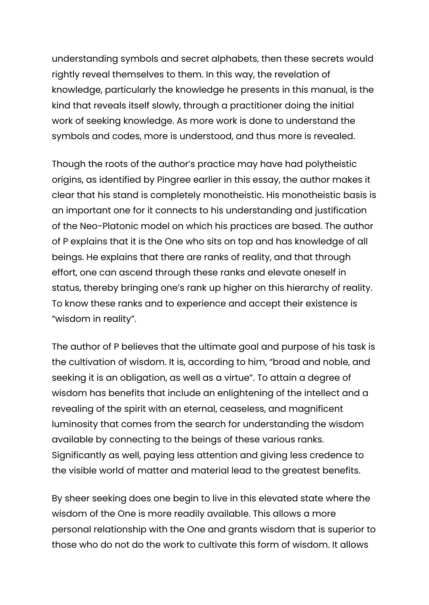understanding symbols and secret alphabets, then these secrets would rightly reveal themselves to them. In this way, the revelation of knowledge, particularly the knowledge he presents in this manual, is the kind that reveals itself slowly, through a practitioner doing the initial work of seeking knowledge. As more work is done to understand the symbols and codes, more is understood, and thus more is revealed.

Though the roots of the author's practice may have had polytheistic origins, as identified by Pingree earlier in this essay, the author makes it clear that his stand is completely monotheistic. His monotheistic basis is an important one for it connects to his understanding and justification of the Neo-Platonic model on which his practices are based. The author of P explains that it is the One who sits on top and has knowledge of all beings. He explains that there are ranks of reality, and that through effort, one can ascend through these ranks and elevate oneself in status, thereby bringing one's rank up higher on this hierarchy of reality. To know these ranks and to experience and accept their existence is "wisdom in reality".

The author of P believes that the ultimate goal and purpose of his task is the cultivation of wisdom. It is, according to him, "broad and noble, and seeking it is an obligation, as well as a virtue". To attain a degree of wisdom has benefits that include an enlightening of the intellect and a revealing of the spirit with an eternal, ceaseless, and magnificent luminosity that comes from the search for understanding the wisdom available by connecting to the beings of these various ranks. Significantly as well, paying less attention and giving less credence to the visible world of matter and material lead to the greatest benefits.

By sheer seeking does one begin to live in this elevated state where the wisdom of the One is more readily available. This allows a more personal relationship with the One and grants wisdom that is superior to those who do not do the work to cultivate this form of wisdom. It allows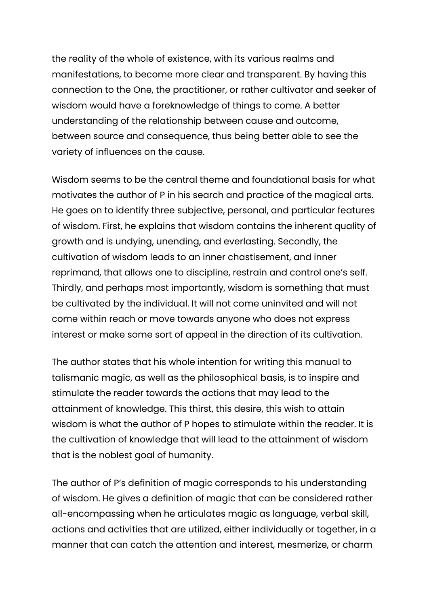the reality of the whole of existence, with its various realms and manifestations, to become more clear and transparent. By having this connection to the One, the practitioner, or rather cultivator and seeker of wisdom would have a foreknowledge of things to come. A better understanding of the relationship between cause and outcome, between source and consequence, thus being better able to see the variety of influences on the cause.

Wisdom seems to be the central theme and foundational basis for what motivates the author of P in his search and practice of the magical arts. He goes on to identify three subjective, personal, and particular features of wisdom. First, he explains that wisdom contains the inherent quality of growth and is undying, unending, and everlasting. Secondly, the cultivation of wisdom leads to an inner chastisement, and inner reprimand, that allows one to discipline, restrain and control one's self. Thirdly, and perhaps most importantly, wisdom is something that must be cultivated by the individual. It will not come uninvited and will not come within reach or move towards anyone who does not express interest or make some sort of appeal in the direction of its cultivation.

The author states that his whole intention for writing this manual to talismanic magic, as well as the philosophical basis, is to inspire and stimulate the reader towards the actions that may lead to the attainment of knowledge. This thirst, this desire, this wish to attain wisdom is what the author of P hopes to stimulate within the reader. It is the cultivation of knowledge that will lead to the attainment of wisdom that is the noblest goal of humanity.

The author of P's definition of magic corresponds to his understanding of wisdom. He gives a definition of magic that can be considered rather all-encompassing when he articulates magic as language, verbal skill, actions and activities that are utilized, either individually or together, in a manner that can catch the attention and interest, mesmerize, or charm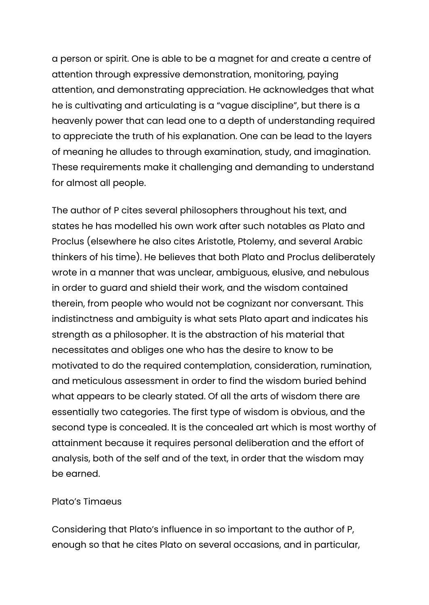a person or spirit. One is able to be a magnet for and create a centre of attention through expressive demonstration, monitoring, paying attention, and demonstrating appreciation. He acknowledges that what he is cultivating and articulating is a "vague discipline", but there is a heavenly power that can lead one to a depth of understanding required to appreciate the truth of his explanation. One can be lead to the layers of meaning he alludes to through examination, study, and imagination. These requirements make it challenging and demanding to understand for almost all people.

The author of P cites several philosophers throughout his text, and states he has modelled his own work after such notables as Plato and Proclus (elsewhere he also cites Aristotle, Ptolemy, and several Arabic thinkers of his time). He believes that both Plato and Proclus deliberately wrote in a manner that was unclear, ambiguous, elusive, and nebulous in order to guard and shield their work, and the wisdom contained therein, from people who would not be cognizant nor conversant. This indistinctness and ambiguity is what sets Plato apart and indicates his strength as a philosopher. It is the abstraction of his material that necessitates and obliges one who has the desire to know to be motivated to do the required contemplation, consideration, rumination, and meticulous assessment in order to find the wisdom buried behind what appears to be clearly stated. Of all the arts of wisdom there are essentially two categories. The first type of wisdom is obvious, and the second type is concealed. It is the concealed art which is most worthy of attainment because it requires personal deliberation and the effort of analysis, both of the self and of the text, in order that the wisdom may be earned.

#### Plato's Timaeus

Considering that Plato's influence in so important to the author of P, enough so that he cites Plato on several occasions, and in particular,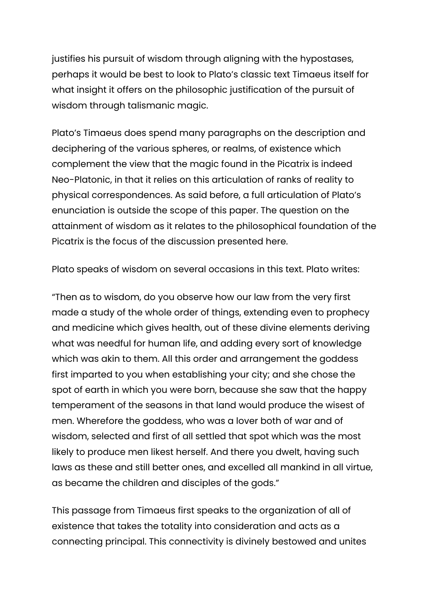justifies his pursuit of wisdom through aligning with the hypostases, perhaps it would be best to look to Plato's classic text Timaeus itself for what insight it offers on the philosophic justification of the pursuit of wisdom through talismanic magic.

Plato's Timaeus does spend many paragraphs on the description and deciphering of the various spheres, or realms, of existence which complement the view that the magic found in the Picatrix is indeed Neo-Platonic, in that it relies on this articulation of ranks of reality to physical correspondences. As said before, a full articulation of Plato's enunciation is outside the scope of this paper. The question on the attainment of wisdom as it relates to the philosophical foundation of the Picatrix is the focus of the discussion presented here.

Plato speaks of wisdom on several occasions in this text. Plato writes:

"Then as to wisdom, do you observe how our law from the very first made a study of the whole order of things, extending even to prophecy and medicine which gives health, out of these divine elements deriving what was needful for human life, and adding every sort of knowledge which was akin to them. All this order and arrangement the goddess first imparted to you when establishing your city; and she chose the spot of earth in which you were born, because she saw that the happy temperament of the seasons in that land would produce the wisest of men. Wherefore the goddess, who was a lover both of war and of wisdom, selected and first of all settled that spot which was the most likely to produce men likest herself. And there you dwelt, having such laws as these and still better ones, and excelled all mankind in all virtue, as became the children and disciples of the gods."

This passage from Timaeus first speaks to the organization of all of existence that takes the totality into consideration and acts as a connecting principal. This connectivity is divinely bestowed and unites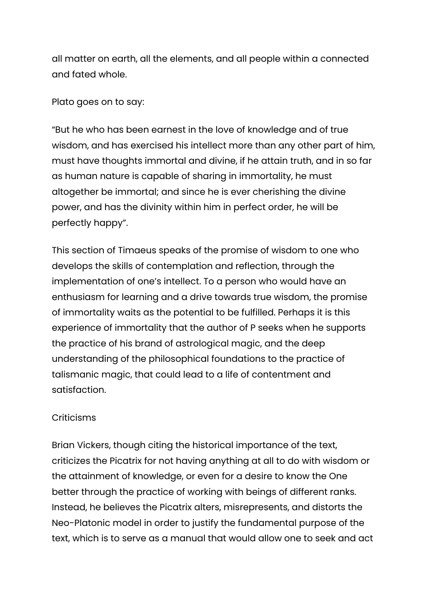all matter on earth, all the elements, and all people within a connected and fated whole.

### Plato goes on to say:

"But he who has been earnest in the love of knowledge and of true wisdom, and has exercised his intellect more than any other part of him, must have thoughts immortal and divine, if he attain truth, and in so far as human nature is capable of sharing in immortality, he must altogether be immortal; and since he is ever cherishing the divine power, and has the divinity within him in perfect order, he will be perfectly happy".

This section of Timaeus speaks of the promise of wisdom to one who develops the skills of contemplation and reflection, through the implementation of one's intellect. To a person who would have an enthusiasm for learning and a drive towards true wisdom, the promise of immortality waits as the potential to be fulfilled. Perhaps it is this experience of immortality that the author of P seeks when he supports the practice of his brand of astrological magic, and the deep understanding of the philosophical foundations to the practice of talismanic magic, that could lead to a life of contentment and satisfaction.

## **Criticisms**

Brian Vickers, though citing the historical importance of the text, criticizes the Picatrix for not having anything at all to do with wisdom or the attainment of knowledge, or even for a desire to know the One better through the practice of working with beings of different ranks. Instead, he believes the Picatrix alters, misrepresents, and distorts the Neo-Platonic model in order to justify the fundamental purpose of the text, which is to serve as a manual that would allow one to seek and act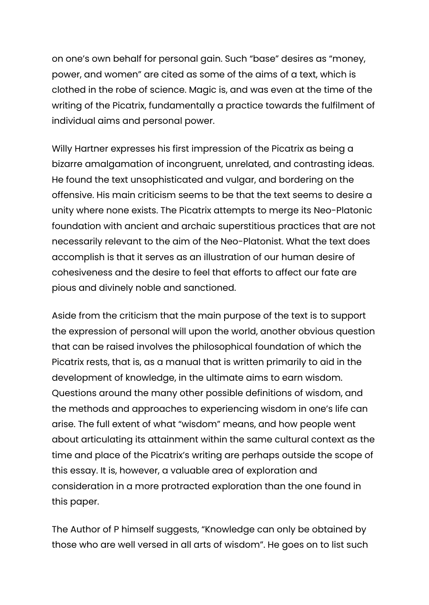on one's own behalf for personal gain. Such "base" desires as "money, power, and women" are cited as some of the aims of a text, which is clothed in the robe of science. Magic is, and was even at the time of the writing of the Picatrix, fundamentally a practice towards the fulfilment of individual aims and personal power.

Willy Hartner expresses his first impression of the Picatrix as being a bizarre amalgamation of incongruent, unrelated, and contrasting ideas. He found the text unsophisticated and vulgar, and bordering on the offensive. His main criticism seems to be that the text seems to desire a unity where none exists. The Picatrix attempts to merge its Neo-Platonic foundation with ancient and archaic superstitious practices that are not necessarily relevant to the aim of the Neo-Platonist. What the text does accomplish is that it serves as an illustration of our human desire of cohesiveness and the desire to feel that efforts to affect our fate are pious and divinely noble and sanctioned.

Aside from the criticism that the main purpose of the text is to support the expression of personal will upon the world, another obvious question that can be raised involves the philosophical foundation of which the Picatrix rests, that is, as a manual that is written primarily to aid in the development of knowledge, in the ultimate aims to earn wisdom. Questions around the many other possible definitions of wisdom, and the methods and approaches to experiencing wisdom in one's life can arise. The full extent of what "wisdom" means, and how people went about articulating its attainment within the same cultural context as the time and place of the Picatrix's writing are perhaps outside the scope of this essay. It is, however, a valuable area of exploration and consideration in a more protracted exploration than the one found in this paper.

The Author of P himself suggests, "Knowledge can only be obtained by those who are well versed in all arts of wisdom". He goes on to list such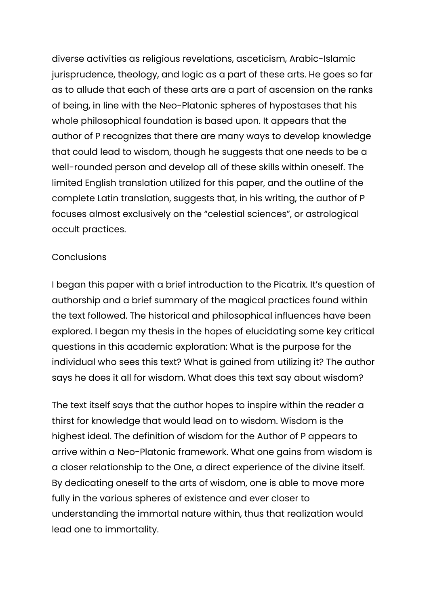diverse activities as religious revelations, asceticism, Arabic-Islamic jurisprudence, theology, and logic as a part of these arts. He goes so far as to allude that each of these arts are a part of ascension on the ranks of being, in line with the Neo-Platonic spheres of hypostases that his whole philosophical foundation is based upon. It appears that the author of P recognizes that there are many ways to develop knowledge that could lead to wisdom, though he suggests that one needs to be a well-rounded person and develop all of these skills within oneself. The limited English translation utilized for this paper, and the outline of the complete Latin translation, suggests that, in his writing, the author of P focuses almost exclusively on the "celestial sciences", or astrological occult practices.

#### **Conclusions**

I began this paper with a brief introduction to the Picatrix. It's question of authorship and a brief summary of the magical practices found within the text followed. The historical and philosophical influences have been explored. I began my thesis in the hopes of elucidating some key critical questions in this academic exploration: What is the purpose for the individual who sees this text? What is gained from utilizing it? The author says he does it all for wisdom. What does this text say about wisdom?

The text itself says that the author hopes to inspire within the reader a thirst for knowledge that would lead on to wisdom. Wisdom is the highest ideal. The definition of wisdom for the Author of P appears to arrive within a Neo-Platonic framework. What one gains from wisdom is a closer relationship to the One, a direct experience of the divine itself. By dedicating oneself to the arts of wisdom, one is able to move more fully in the various spheres of existence and ever closer to understanding the immortal nature within, thus that realization would lead one to immortality.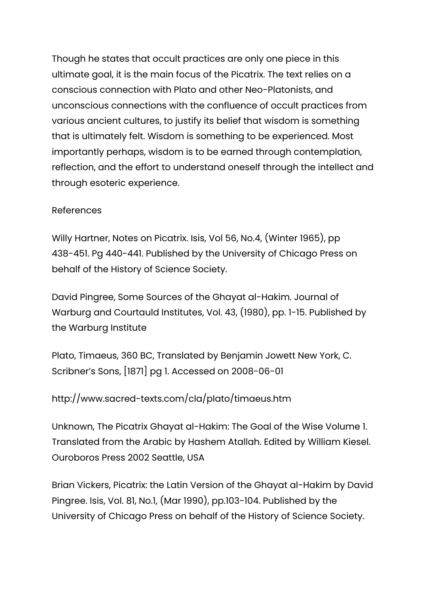Though he states that occult practices are only one piece in this ultimate goal, it is the main focus of the Picatrix. The text relies on a conscious connection with Plato and other Neo-Platonists, and unconscious connections with the confluence of occult practices from various ancient cultures, to justify its belief that wisdom is something that is ultimately felt. Wisdom is something to be experienced. Most importantly perhaps, wisdom is to be earned through contemplation, reflection, and the effort to understand oneself through the intellect and through esoteric experience.

## References

Willy Hartner, Notes on Picatrix. Isis, Vol 56, No.4, (Winter 1965), pp 438-451. Pg 440-441. Published by the University of Chicago Press on behalf of the History of Science Society.

David Pingree, Some Sources of the Ghayat al-Hakim. Journal of Warburg and Courtauld Institutes, Vol. 43, (1980), pp. 1-15. Published by the Warburg Institute

Plato, Timaeus, 360 BC, Translated by Benjamin Jowett New York, C. Scribner's Sons, [1871] pg 1. Accessed on 2008-06-01

# http://www.sacred-texts.com/cla/plato/timaeus.htm

Unknown, The Picatrix Ghayat al-Hakim: The Goal of the Wise Volume 1. Translated from the Arabic by Hashem Atallah. Edited by William Kiesel. Ouroboros Press 2002 Seattle, USA

Brian Vickers, Picatrix: the Latin Version of the Ghayat al-Hakim by David Pingree. Isis, Vol. 81, No.1, (Mar 1990), pp.103-104. Published by the University of Chicago Press on behalf of the History of Science Society.